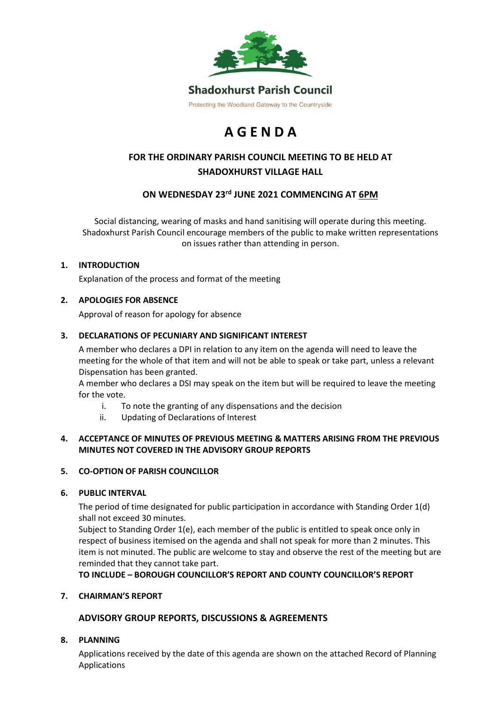

# **A G E N D A**

# **FOR THE ORDINARY PARISH COUNCIL MEETING TO BE HELD AT SHADOXHURST VILLAGE HALL**

## **ON WEDNESDAY 23rd JUNE 2021 COMMENCING AT 6PM**

Social distancing, wearing of masks and hand sanitising will operate during this meeting. Shadoxhurst Parish Council encourage members of the public to make written representations on issues rather than attending in person.

## **1. INTRODUCTION**

Explanation of the process and format of the meeting

## **2. APOLOGIES FOR ABSENCE**

Approval of reason for apology for absence

#### **3. DECLARATIONS OF PECUNIARY AND SIGNIFICANT INTEREST**

A member who declares a DPI in relation to any item on the agenda will need to leave the meeting for the whole of that item and will not be able to speak or take part, unless a relevant Dispensation has been granted.

A member who declares a DSI may speak on the item but will be required to leave the meeting for the vote.

- i. To note the granting of any dispensations and the decision
- ii. Updating of Declarations of Interest

#### **4. ACCEPTANCE OF MINUTES OF PREVIOUS MEETING & MATTERS ARISING FROM THE PREVIOUS MINUTES NOT COVERED IN THE ADVISORY GROUP REPORTS**

#### **5. CO-OPTION OF PARISH COUNCILLOR**

#### **6. PUBLIC INTERVAL**

The period of time designated for public participation in accordance with Standing Order 1(d) shall not exceed 30 minutes.

Subject to Standing Order 1(e), each member of the public is entitled to speak once only in respect of business itemised on the agenda and shall not speak for more than 2 minutes. This item is not minuted. The public are welcome to stay and observe the rest of the meeting but are reminded that they cannot take part.

**TO INCLUDE – BOROUGH COUNCILLOR'S REPORT AND COUNTY COUNCILLOR'S REPORT**

#### **7. CHAIRMAN'S REPORT**

## **ADVISORY GROUP REPORTS, DISCUSSIONS & AGREEMENTS**

#### **8. PLANNING**

Applications received by the date of this agenda are shown on the attached Record of Planning Applications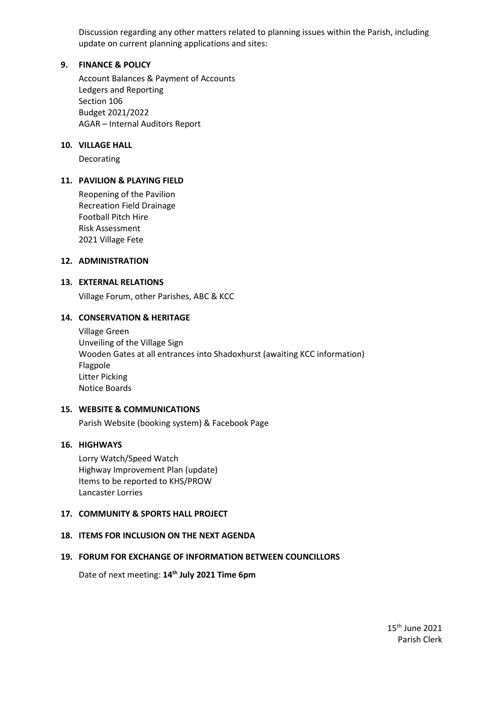Discussion regarding any other matters related to planning issues within the Parish, including update on current planning applications and sites:

#### **9. FINANCE & POLICY**

Account Balances & Payment of Accounts Ledgers and Reporting Section 106 Budget 2021/2022 AGAR – Internal Auditors Report

#### **10. VILLAGE HALL**

Decorating

#### **11. PAVILION & PLAYING FIELD**

Reopening of the Pavilion Recreation Field Drainage Football Pitch Hire Risk Assessment 2021 Village Fete

#### **12. ADMINISTRATION**

#### **13. EXTERNAL RELATIONS**

Village Forum, other Parishes, ABC & KCC

#### **14. CONSERVATION & HERITAGE**

Village Green Unveiling of the Village Sign Wooden Gates at all entrances into Shadoxhurst (awaiting KCC information) Flagpole Litter Picking Notice Boards

#### **15. WEBSITE & COMMUNICATIONS**

Parish Website (booking system) & Facebook Page

#### **16. HIGHWAYS**

Lorry Watch/Speed Watch Highway Improvement Plan (update) Items to be reported to KHS/PROW Lancaster Lorries

#### **17. COMMUNITY & SPORTS HALL PROJECT**

#### **18. ITEMS FOR INCLUSION ON THE NEXT AGENDA**

#### **19. FORUM FOR EXCHANGE OF INFORMATION BETWEEN COUNCILLORS**

Date of next meeting: **14 th July 2021 Time 6pm**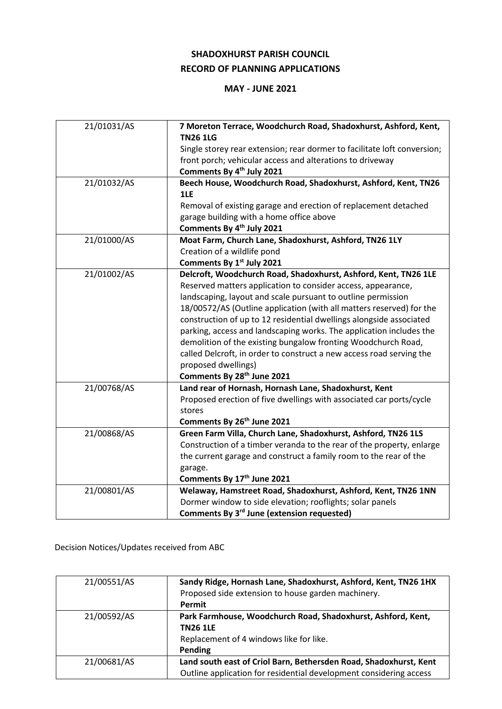## **SHADOXHURST PARISH COUNCIL RECORD OF PLANNING APPLICATIONS**

## **MAY - JUNE 2021**

| 21/01031/AS | 7 Moreton Terrace, Woodchurch Road, Shadoxhurst, Ashford, Kent,          |
|-------------|--------------------------------------------------------------------------|
|             | <b>TN26 1LG</b>                                                          |
|             | Single storey rear extension; rear dormer to facilitate loft conversion; |
|             | front porch; vehicular access and alterations to driveway                |
|             | Comments By 4 <sup>th</sup> July 2021                                    |
| 21/01032/AS | Beech House, Woodchurch Road, Shadoxhurst, Ashford, Kent, TN26           |
|             | 1LE                                                                      |
|             | Removal of existing garage and erection of replacement detached          |
|             | garage building with a home office above                                 |
|             | Comments By 4 <sup>th</sup> July 2021                                    |
| 21/01000/AS | Moat Farm, Church Lane, Shadoxhurst, Ashford, TN26 1LY                   |
|             | Creation of a wildlife pond                                              |
|             | Comments By 1st July 2021                                                |
| 21/01002/AS | Delcroft, Woodchurch Road, Shadoxhurst, Ashford, Kent, TN26 1LE          |
|             | Reserved matters application to consider access, appearance,             |
|             | landscaping, layout and scale pursuant to outline permission             |
|             | 18/00572/AS (Outline application (with all matters reserved) for the     |
|             | construction of up to 12 residential dwellings alongside associated      |
|             | parking, access and landscaping works. The application includes the      |
|             | demolition of the existing bungalow fronting Woodchurch Road,            |
|             | called Delcroft, in order to construct a new access road serving the     |
|             | proposed dwellings)                                                      |
|             | Comments By 28th June 2021                                               |
| 21/00768/AS | Land rear of Hornash, Hornash Lane, Shadoxhurst, Kent                    |
|             | Proposed erection of five dwellings with associated car ports/cycle      |
|             | stores                                                                   |
|             | Comments By 26 <sup>th</sup> June 2021                                   |
| 21/00868/AS | Green Farm Villa, Church Lane, Shadoxhurst, Ashford, TN26 1LS            |
|             | Construction of a timber veranda to the rear of the property, enlarge    |
|             | the current garage and construct a family room to the rear of the        |
|             | garage.                                                                  |
|             | Comments By 17th June 2021                                               |
| 21/00801/AS | Welaway, Hamstreet Road, Shadoxhurst, Ashford, Kent, TN26 1NN            |
|             | Dormer window to side elevation; rooflights; solar panels                |
|             | Comments By 3rd June (extension requested)                               |

Decision Notices/Updates received from ABC

| 21/00551/AS | Sandy Ridge, Hornash Lane, Shadoxhurst, Ashford, Kent, TN26 1HX<br>Proposed side extension to house garden machinery.<br>Permit         |
|-------------|-----------------------------------------------------------------------------------------------------------------------------------------|
| 21/00592/AS | Park Farmhouse, Woodchurch Road, Shadoxhurst, Ashford, Kent,<br><b>TN26 1LE</b><br>Replacement of 4 windows like for like.<br>Pending   |
| 21/00681/AS | Land south east of Criol Barn, Bethersden Road, Shadoxhurst, Kent<br>Outline application for residential development considering access |